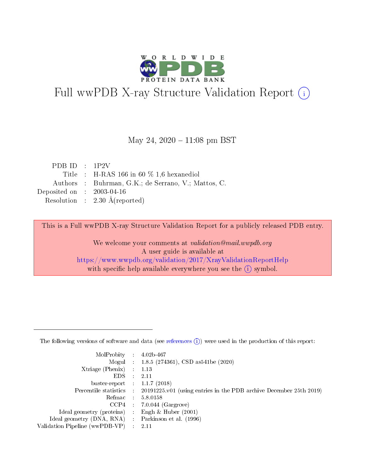

# Full wwPDB X-ray Structure Validation Report (i)

#### May 24,  $2020 - 11:08$  pm BST

| PDB ID : $1P2V$             |                                                     |
|-----------------------------|-----------------------------------------------------|
|                             | Title : H-RAS 166 in 60 $\%$ 1,6 hexanediol         |
|                             | Authors : Buhrman, G.K.; de Serrano, V.; Mattos, C. |
| Deposited on : $2003-04-16$ |                                                     |
|                             | Resolution : $2.30 \text{ Å}$ (reported)            |

This is a Full wwPDB X-ray Structure Validation Report for a publicly released PDB entry.

We welcome your comments at validation@mail.wwpdb.org A user guide is available at <https://www.wwpdb.org/validation/2017/XrayValidationReportHelp> with specific help available everywhere you see the  $(i)$  symbol.

The following versions of software and data (see [references](https://www.wwpdb.org/validation/2017/XrayValidationReportHelp#references)  $(1)$ ) were used in the production of this report:

| MolProbity :                   |               | $4.02b - 467$                                                               |
|--------------------------------|---------------|-----------------------------------------------------------------------------|
|                                |               | Mogul : $1.8.5$ (274361), CSD as 541be (2020)                               |
| $X$ triage (Phenix) :          |               | 1.13                                                                        |
| EDS.                           |               | 2.11                                                                        |
| buster-report : $1.1.7$ (2018) |               |                                                                             |
| Percentile statistics :        |               | $20191225 \text{v}01$ (using entries in the PDB archive December 25th 2019) |
| Refmac :                       |               | 5.8.0158                                                                    |
| $CCP4$ :                       |               | $7.0.044$ (Gargrove)                                                        |
| Ideal geometry (proteins) :    |               | Engh $\&$ Huber (2001)                                                      |
| Ideal geometry (DNA, RNA) :    |               | Parkinson et al. (1996)                                                     |
| Validation Pipeline (wwPDB-VP) | $\mathcal{L}$ | 2.11                                                                        |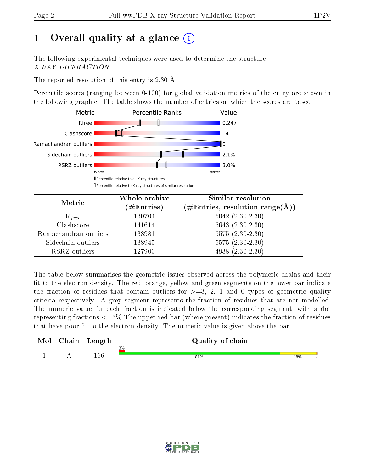# 1 [O](https://www.wwpdb.org/validation/2017/XrayValidationReportHelp#overall_quality)verall quality at a glance  $(i)$

The following experimental techniques were used to determine the structure: X-RAY DIFFRACTION

The reported resolution of this entry is 2.30 Å.

Percentile scores (ranging between 0-100) for global validation metrics of the entry are shown in the following graphic. The table shows the number of entries on which the scores are based.



| Metric                | Whole archive<br>$(\#\mathrm{Entries})$ | Similar resolution<br>$(\#\text{Entries},\, \text{resolution}\; \text{range}(\textup{\AA}))$ |
|-----------------------|-----------------------------------------|----------------------------------------------------------------------------------------------|
| $R_{free}$            | 130704                                  | $5042$ $(2.30-2.30)$                                                                         |
| Clashscore            | 141614                                  | $5643(2.30-2.30)$                                                                            |
| Ramachandran outliers | 138981                                  | $\overline{5575}$ $(2.30-2.30)$                                                              |
| Sidechain outliers    | 138945                                  | $5575(2.30-2.30)$                                                                            |
| RSRZ outliers         | 127900                                  | $4938(2.30-2.30)$                                                                            |

The table below summarises the geometric issues observed across the polymeric chains and their fit to the electron density. The red, orange, yellow and green segments on the lower bar indicate the fraction of residues that contain outliers for  $>=3, 2, 1$  and 0 types of geometric quality criteria respectively. A grey segment represents the fraction of residues that are not modelled. The numeric value for each fraction is indicated below the corresponding segment, with a dot representing fractions  $\epsilon=5\%$  The upper red bar (where present) indicates the fraction of residues that have poor fit to the electron density. The numeric value is given above the bar.

| Mol | $\cap$ hain | Length  | Quality of chain |     |  |
|-----|-------------|---------|------------------|-----|--|
|     |             |         | 3%               |     |  |
|     |             | $166\,$ | 81%              | 18% |  |

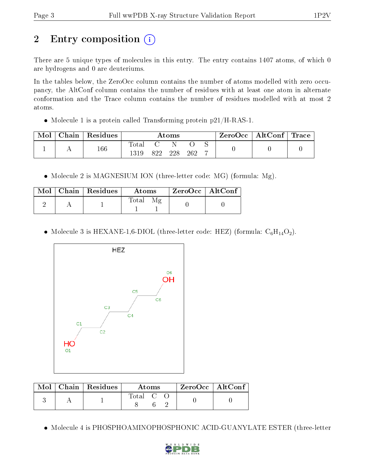# 2 Entry composition (i)

There are 5 unique types of molecules in this entry. The entry contains 1407 atoms, of which 0 are hydrogens and 0 are deuteriums.

In the tables below, the ZeroOcc column contains the number of atoms modelled with zero occupancy, the AltConf column contains the number of residues with at least one atom in alternate conformation and the Trace column contains the number of residues modelled with at most 2 atoms.

• Molecule 1 is a protein called Transforming protein  $p21/H-RAS-1$ .

| Mol | Chain | Residues | $\rm{Atoms}$  |      |     |     |   | ZeroOcc   AltConf   Trace |  |
|-----|-------|----------|---------------|------|-----|-----|---|---------------------------|--|
|     |       | 166      | Totar<br>1319 | 899. | 228 | 262 | − |                           |  |

• Molecule 2 is MAGNESIUM ION (three-letter code: MG) (formula: Mg).

|  | $Mol$   Chain   Residues | Atoms | $\rm ZeroOcc \mid AltConf \mid$ |
|--|--------------------------|-------|---------------------------------|
|  |                          | Total |                                 |

• Molecule 3 is HEXANE-1,6-DIOL (three-letter code: HEZ) (formula:  $C_6H_{14}O_2$ ).



|  | $\text{Mol}$   Chain   Residues | Atoms                                                    |  | $ZeroOcc \mid AltConf \mid$ |  |
|--|---------------------------------|----------------------------------------------------------|--|-----------------------------|--|
|  |                                 | $\begin{array}{ccc} \text{Total} & \text{C} \end{array}$ |  |                             |  |

Molecule 4 is PHOSPHOAMINOPHOSPHONIC ACID-GUANYLATE ESTER (three-letter

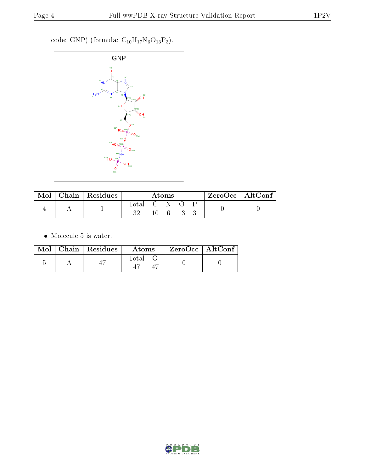$\rm code:$  GNP) (formula:  $\rm C_{10}H_{17}N_6O_{13}P_3).$ 



| Mol | Chain   Residues | Atoms             |                |  | $ZeroOcc$   AltConf |  |  |
|-----|------------------|-------------------|----------------|--|---------------------|--|--|
|     |                  | $\rm Total$<br>າດ | - GNN<br>I (). |  |                     |  |  |

 $\bullet\,$  Molecule 5 is water.

|  | $\text{Mol}$   Chain   Residues | Atoms | $\rm ZeroOcc \mid AltConf$ |
|--|---------------------------------|-------|----------------------------|
|  |                                 | Total |                            |

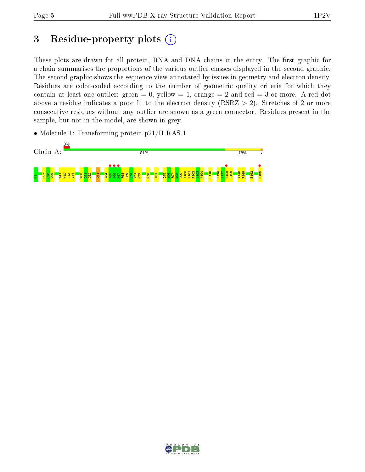## 3 Residue-property plots  $(i)$

These plots are drawn for all protein, RNA and DNA chains in the entry. The first graphic for a chain summarises the proportions of the various outlier classes displayed in the second graphic. The second graphic shows the sequence view annotated by issues in geometry and electron density. Residues are color-coded according to the number of geometric quality criteria for which they contain at least one outlier: green  $= 0$ , yellow  $= 1$ , orange  $= 2$  and red  $= 3$  or more. A red dot above a residue indicates a poor fit to the electron density (RSRZ  $> 2$ ). Stretches of 2 or more consecutive residues without any outlier are shown as a green connector. Residues present in the sample, but not in the model, are shown in grey.

• Molecule 1: Transforming protein p21/H-RAS-1



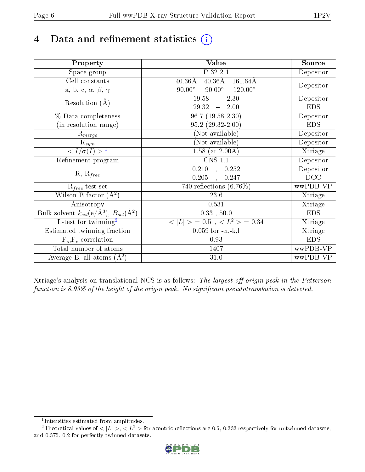# 4 Data and refinement statistics  $(i)$

| Property                                                             | Value                                                        | Source     |
|----------------------------------------------------------------------|--------------------------------------------------------------|------------|
| Space group                                                          | P 32 2 1                                                     | Depositor  |
| Cell constants                                                       | $40.36\text{\AA}$<br>$40.36\text{\AA}$<br>$161.64\text{\AA}$ |            |
| a, b, c, $\alpha$ , $\beta$ , $\gamma$                               | $90.00^\circ$<br>$90.00^\circ$<br>$120.00^{\circ}$           | Depositor  |
| Resolution $(A)$                                                     | 19.58<br>$-2.30$                                             | Depositor  |
|                                                                      | 29.32<br>$-2.00$                                             | <b>EDS</b> |
| % Data completeness                                                  | $\overline{96.7}$ (19.58-2.30)                               | Depositor  |
| (in resolution range)                                                | $95.2(29.32-2.00)$                                           | <b>EDS</b> |
| $R_{merge}$                                                          | (Not available)                                              | Depositor  |
| $\mathrm{R}_{sym}$                                                   | (Not available)                                              | Depositor  |
| $\sqrt{I/\sigma}(I) > 1$                                             | 1.58 (at $2.00\text{\AA}$ )                                  | Xtriage    |
| Refinement program                                                   | <b>CNS 1.1</b>                                               | Depositor  |
|                                                                      | $\overline{0.210}$ ,<br>0.252                                | Depositor  |
| $R, R_{free}$                                                        | 0.205<br>0.247                                               | DCC        |
| $R_{free}$ test set                                                  | 740 reflections $(6.76\%)$                                   | wwPDB-VP   |
| Wilson B-factor $(A^2)$                                              | 23.6                                                         | Xtriage    |
| Anisotropy                                                           | 0.531                                                        | Xtriage    |
| Bulk solvent $k_{sol}(e/\mathring{A}^3)$ , $B_{sol}(\mathring{A}^2)$ | $0.33$ , $50.0$                                              | <b>EDS</b> |
| L-test for twinning <sup>2</sup>                                     | $< L >$ = 0.51, $< L2 >$ = 0.34                              | Xtriage    |
| Estimated twinning fraction                                          | $0.059$ for $-h,-k,l$                                        | Xtriage    |
| $F_o, F_c$ correlation                                               | 0.93                                                         | <b>EDS</b> |
| Total number of atoms                                                | 1407                                                         | wwPDB-VP   |
| Average B, all atoms $(A^2)$                                         | $31.0\,$                                                     | wwPDB-VP   |

Xtriage's analysis on translational NCS is as follows: The largest off-origin peak in the Patterson function is  $8.93\%$  of the height of the origin peak. No significant pseudotranslation is detected.

<sup>&</sup>lt;sup>2</sup>Theoretical values of  $\langle |L| \rangle$ ,  $\langle L^2 \rangle$  for acentric reflections are 0.5, 0.333 respectively for untwinned datasets, and 0.375, 0.2 for perfectly twinned datasets.



<span id="page-5-1"></span><span id="page-5-0"></span><sup>1</sup> Intensities estimated from amplitudes.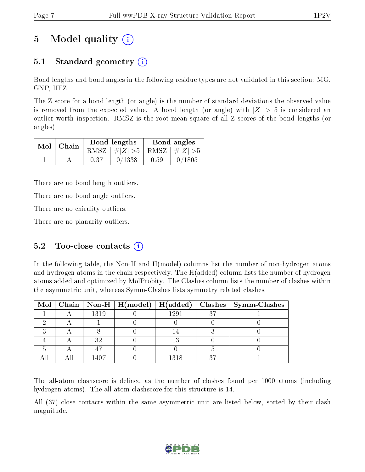## 5 Model quality  $(i)$

### 5.1 Standard geometry (i)

Bond lengths and bond angles in the following residue types are not validated in this section: MG, GNP, HEZ

The Z score for a bond length (or angle) is the number of standard deviations the observed value is removed from the expected value. A bond length (or angle) with  $|Z| > 5$  is considered an outlier worth inspection. RMSZ is the root-mean-square of all Z scores of the bond lengths (or angles).

| $Mol$   Chain |      | Bond lengths                    |      | Bond angles        |
|---------------|------|---------------------------------|------|--------------------|
|               |      | RMSZ $ #Z  > 5$ RMSZ $ #Z  > 5$ |      |                    |
|               | 0.37 | 0/1338                          | 0.59 | $^{\prime}$ 0/1805 |

There are no bond length outliers.

There are no bond angle outliers.

There are no chirality outliers.

There are no planarity outliers.

### 5.2 Too-close contacts  $(i)$

In the following table, the Non-H and H(model) columns list the number of non-hydrogen atoms and hydrogen atoms in the chain respectively. The H(added) column lists the number of hydrogen atoms added and optimized by MolProbity. The Clashes column lists the number of clashes within the asymmetric unit, whereas Symm-Clashes lists symmetry related clashes.

|  |      |      |      | Mol   Chain   Non-H   H(model)   H(added)   Clashes   Symm-Clashes |
|--|------|------|------|--------------------------------------------------------------------|
|  | 1319 | 1291 | רי פ |                                                                    |
|  |      |      |      |                                                                    |
|  |      |      |      |                                                                    |
|  | っっ   |      |      |                                                                    |
|  |      |      |      |                                                                    |
|  |      | 1318 |      |                                                                    |

The all-atom clashscore is defined as the number of clashes found per 1000 atoms (including hydrogen atoms). The all-atom clashscore for this structure is 14.

All (37) close contacts within the same asymmetric unit are listed below, sorted by their clash magnitude.

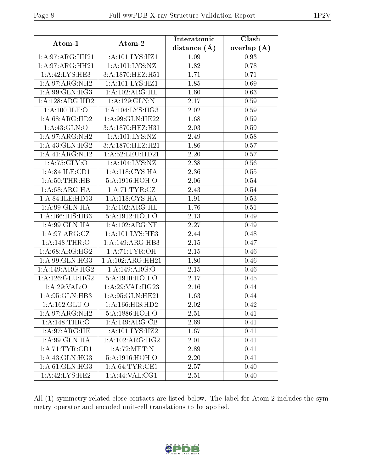| Atom-1             | Atom-2                               | Interatomic<br>distance $(A)$ | Clash<br>overlap $(A)$ |
|--------------------|--------------------------------------|-------------------------------|------------------------|
| 1:A:97:ARG:HH21    | 1:A:101:LYS:HZ1                      | 1.09                          | 0.93                   |
| 1:A:97:ARG:HH21    | 1:A:101:LYS:NZ                       | 1.82                          | 0.78                   |
| 1:A:42:LYS:HE3     | 3:A:1870:HEZ:H51                     | 1.71                          | 0.71                   |
| 1:A:97:ARG:NH2     | 1:A:101:LYS:HZ1                      | 1.85                          | 0.69                   |
| 1:A:99:GLN:HG3     | 1: A: 102: ARG: HE                   | 1.60                          | 0.63                   |
| 1:A:128:ARG:HD2    | 1:A:129:GLN:N                        | 2.17                          | 0.59                   |
| 1: A:100: ILE: O   | 1: A:104:LYS:HG3                     | 2.02                          | 0.59                   |
| 1:A:68:ARG:HD2     | 1: A:99: GLN: HE22                   | 1.68                          | 0.59                   |
| 1: A:43: GLN:O     | 3:A:1870:HEZ:H31                     | 2.03                          | 0.59                   |
| 1: A:97: ARG: NH2  | 1: A: 101: LYS: NZ                   | 2.49                          | 0.58                   |
| 1:A:43:GLN:HG2     | $3:A:1870:\overline{\text{HEZ}:H21}$ | 1.86                          | 0.57                   |
| 1: A:41: ARG:NH2   | 1: A:52: LEU: HD21                   | 2.20                          | 0.57                   |
| 1: A: 75: GLY: O   | 1:A:104:LYS:NZ                       | 2.38                          | 0.56                   |
| 1: A:84: ILE: CD1  | 1: A:118: CYS: HA                    | 2.36                          | 0.55                   |
| 1: A:50:THR:HB     | 5:A:1916:HOH:O                       | 2.06                          | 0.54                   |
| 1: A:68: ARG:HA    | 1: A: 71: TYR: CZ                    | 2.43                          | 0.54                   |
| 1:A:84:ILE:HD13    | 1:A:118:CYS:HA                       | 1.91                          | 0.53                   |
| 1:A:99:GLN:HA      | 1:A:102:ARG:HE                       | 1.76                          | 0.51                   |
| 1:A:166:HIS:HB3    | 5:A:1912:HOH:O                       | 2.13                          | 0.49                   |
| 1: A:99: GLN: HA   | 1: A: 102: ARG: NE                   | 2.27                          | 0.49                   |
| 1:A:97:ARG:CZ      | 1:A:101:LYS:HE3                      | 2.44                          | 0.48                   |
| 1:A:148:THR:O      | 1:A:149:ARG:HB3                      | 2.15                          | 0.47                   |
| 1: A:68: ARG: HG2  | 1:A:71:TYR:OH                        | 2.15                          | 0.46                   |
| 1:A:99:GLN:HG3     | 1:A:102:ARG:HH21                     | 1.80                          | 0.46                   |
| 1:A:149:ARG:HG2    | 1:A:149:ARG:O                        | 2.15                          | 0.46                   |
| 1: A:126: GLU: HG2 | 5:A:1910:HOH:O                       | 2.17                          | 0.45                   |
| 1:A:29:VAL:O       | 1: A:29: VAL:HG23                    | 2.16                          | 0.44                   |
| 1:A:95:GLN:HB3     | 1: A:95: GLN: HE21                   | 1.63                          | 0.44                   |
| 1: A: 162: GLU:O   | 1: A: 166: HIS: HD2                  | 2.02                          | 0.42                   |
| 1:A:97:ARG:NH2     | 5:A:1886:HOH:O                       | 2.51                          | 0.41                   |
| 1:A:148:THR:O      | 1:A:149:ARG:CB                       | 2.69                          | 0.41                   |
| 1: A:97: ARG:HE    | 1: A: 101: LYS: HZ2                  | 1.67                          | 0.41                   |
| 1:A:99:GLN:HA      | 1:A:102:ARG:HG2                      | 2.01                          | 0.41                   |
| 1: A:71:TYR:CD1    | 1:A:72:MET:N                         | 2.89                          | 0.41                   |
| 1: A: 43: GLN: HG3 | 5:A:1916:HOH:O                       | 2.20                          | 0.41                   |
| 1: A:61: GLN: HG3  | 1: A:64:TYR:CE1                      | 2.57                          | 0.40                   |
| 1: A: 42: LYS: HE2 | $1:$ A:44:VAL:CG1                    | 2.51                          | 0.40                   |

All (1) symmetry-related close contacts are listed below. The label for Atom-2 includes the symmetry operator and encoded unit-cell translations to be applied.

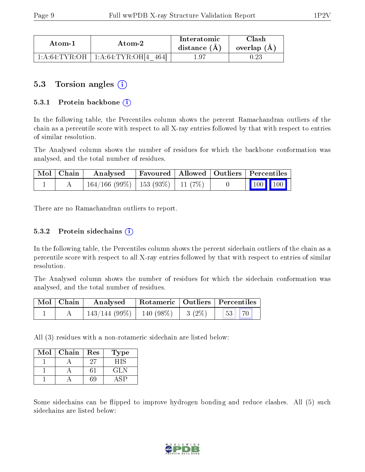| Atom-1 | Atom-2                                                            | Interatomic<br>distance $(A)$ | Clash<br>overlap $(A)$ |
|--------|-------------------------------------------------------------------|-------------------------------|------------------------|
|        | $1:\!A:\!64:\!TYR:\!OH \; \; 1:A:\!64:\!TYR:\!OH \; \; 4$<br>4641 | 1.97                          |                        |

### 5.3 Torsion angles (i)

#### 5.3.1 Protein backbone  $(i)$

In the following table, the Percentiles column shows the percent Ramachandran outliers of the chain as a percentile score with respect to all X-ray entries followed by that with respect to entries of similar resolution.

The Analysed column shows the number of residues for which the backbone conformation was analysed, and the total number of residues.

| Mol   Chain | Analysed                                 |  | Favoured   Allowed   Outliers   Percentiles    |
|-------------|------------------------------------------|--|------------------------------------------------|
|             | $164/166$ (99\%)   153 (93\%)   11 (7\%) |  | $\begin{bmatrix} 100 \\ 100 \end{bmatrix}$ 100 |

There are no Ramachandran outliers to report.

#### 5.3.2 Protein sidechains  $\hat{I}$

In the following table, the Percentiles column shows the percent sidechain outliers of the chain as a percentile score with respect to all X-ray entries followed by that with respect to entries of similar resolution.

The Analysed column shows the number of residues for which the sidechain conformation was analysed, and the total number of residues.

| Mol   Chain | Analysed                                | Rotameric   Outliers   Percentiles |  |                       |  |
|-------------|-----------------------------------------|------------------------------------|--|-----------------------|--|
|             | $143/144$ (99\%)   140 (98\%)   3 (2\%) |                                    |  | 53 <sup>1</sup><br>70 |  |

All (3) residues with a non-rotameric sidechain are listed below:

| Mol | Chain | Res | Type       |
|-----|-------|-----|------------|
|     |       | 27  | HIS        |
|     |       |     | <b>GLN</b> |
|     |       | 59  |            |

Some sidechains can be flipped to improve hydrogen bonding and reduce clashes. All (5) such sidechains are listed below:

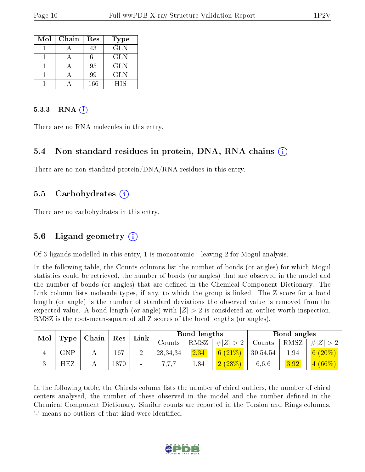| Mol | Chain | Res | <b>Type</b> |
|-----|-------|-----|-------------|
|     |       | 43  | <b>GLN</b>  |
|     |       | 61  | <b>GLN</b>  |
|     |       | 95  | <b>GLN</b>  |
|     |       | 99  | <b>GLN</b>  |
|     |       | 166 | HIS         |

#### $5.3.3$  RNA  $(i)$

There are no RNA molecules in this entry.

#### 5.4 Non-standard residues in protein, DNA, RNA chains (i)

There are no non-standard protein/DNA/RNA residues in this entry.

#### 5.5 Carbohydrates (i)

There are no carbohydrates in this entry.

#### 5.6 Ligand geometry (i)

Of 3 ligands modelled in this entry, 1 is monoatomic - leaving 2 for Mogul analysis.

In the following table, the Counts columns list the number of bonds (or angles) for which Mogul statistics could be retrieved, the number of bonds (or angles) that are observed in the model and the number of bonds (or angles) that are defined in the Chemical Component Dictionary. The Link column lists molecule types, if any, to which the group is linked. The Z score for a bond length (or angle) is the number of standard deviations the observed value is removed from the expected value. A bond length (or angle) with  $|Z| > 2$  is considered an outlier worth inspection. RMSZ is the root-mean-square of all Z scores of the bond lengths (or angles).

| Mol |             |       |             |                          |            | Bond lengths |               |          | Bond angles |             |
|-----|-------------|-------|-------------|--------------------------|------------|--------------|---------------|----------|-------------|-------------|
|     | Type        | Chain | $\vert$ Res | Link                     | Counts     | RMSZ         | . $\# Z  > 2$ | Counts   | RMSZ        | # $ Z  > 2$ |
|     | ${\rm GNP}$ |       | 167         |                          | 28, 34, 34 | 2.34         | 6(21%)        | 30,54,54 | 1.94        | 6 $(20\%)$  |
|     | HEZ         |       | 1870        | $\overline{\phantom{a}}$ |            | 1.84         | 2(28%)        | 6.6.6    | 3.92        | $4(66\%)$   |

In the following table, the Chirals column lists the number of chiral outliers, the number of chiral centers analysed, the number of these observed in the model and the number defined in the Chemical Component Dictionary. Similar counts are reported in the Torsion and Rings columns. '-' means no outliers of that kind were identified.

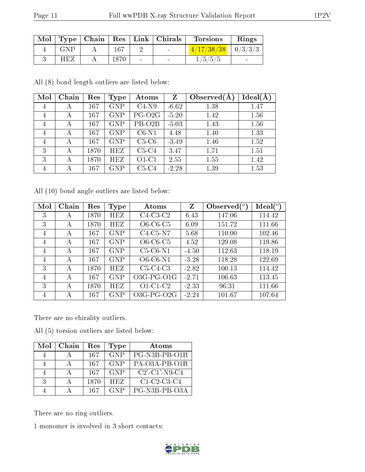| Mol |     | $\vert$ Type $\vert$ Chain |          |                          | $Res$   Link   Chirals   | <b>Torsions</b>         | Rings |
|-----|-----|----------------------------|----------|--------------------------|--------------------------|-------------------------|-------|
|     | GNP |                            | 167      |                          | <b>Contract Contract</b> | $(4/17/38/38$   0/3/3/3 |       |
|     | HEZ |                            | $1870\,$ | $\overline{\phantom{0}}$ | $\overline{\phantom{a}}$ | 1/5/5/5                 |       |

All (8) bond length outliers are listed below:

| Mol            | Chain | Res  | Type       | Atoms               | Z       | Observed $(A)$ | Ideal(A) |
|----------------|-------|------|------------|---------------------|---------|----------------|----------|
| $\overline{4}$ | А     | 167  | <b>GNP</b> | $C4-N9$             | $-6.62$ | 1.38           | 1.47     |
| $\overline{4}$ | А     | 167  | <b>GNP</b> | PG-O <sub>2G</sub>  | $-5.20$ | 1.42           | 1.56     |
| 4              | А     | 167  | <b>GNP</b> | PB-O <sub>2</sub> B | $-5.03$ | 1.43           | 1.56     |
| 4              | А     | 167  | <b>GNP</b> | $C6-N1$             | 4.48    | 1.40           | 1.33     |
| $\overline{4}$ | А     | 167  | <b>GNP</b> | $C5-C6$             | $-3.49$ | 1.46           | 1.52     |
| 3              | А     | 1870 | HEZ        | $C5-C4$             | 3.47    | 1.71           | 1.51     |
| 3              | А     | 1870 | HEZ        | $O1-C1$             | 2.55    | 1.55           | 1.42     |
| 4              | А     | 167  | <b>GNP</b> | $C5-C4$             | $-2.28$ | 1.39           | 1.53     |

All (10) bond angle outliers are listed below:

| Mol | Chain | Res  | Type       | Atoms              | Z       | Observed $(°)$ | $\text{Ideal}({}^o)$ |
|-----|-------|------|------------|--------------------|---------|----------------|----------------------|
| 3   | А     | 1870 | <b>HEZ</b> | $C4-C3-C2$         | 6.43    | 147.06         | 114.42               |
| 3   | А     | 1870 | HEZ        | $O6-C6-C5$         | 6.09    | 151.72         | 111.66               |
| 4   | А     | 167  | <b>GNP</b> | $C4-C5-N7$         | 5.68    | 110.00         | 102.46               |
| 4   | А     | 167  | <b>GNP</b> | $O6-C6-C5$         | 4.52    | 129.08         | 119.86               |
| 4   | А     | 167  | <b>GNP</b> | $C5-C6-N1$         | $-4.50$ | 112.63         | 118.19               |
| 4   | А     | 167  | <b>GNP</b> | $O6$ - $C6$ - $N1$ | $-3.28$ | 118.28         | 122.69               |
| 3   | А     | 1870 | <b>HEZ</b> | $C5-C4-C3$         | $-2.82$ | 100.13         | 114.42               |
| 4   | А     | 167  | <b>GNP</b> | $O3G-PG-O1G$       | $-2.71$ | 106.63         | 113.45               |
| 3   | А     | 1870 | <b>HEZ</b> | $O1-C1-C2$         | $-2.33$ | 96.31          | 111.66               |
| 4   | А     | 167  | <b>GNP</b> | $O3G-PG-O2G$       | $-2.24$ | 101.67         | 107.64               |

There are no chirality outliers.

All (5) torsion outliers are listed below:

| Mol | Chain | Res  | Type       | Atoms            |
|-----|-------|------|------------|------------------|
|     |       | 167  | <b>GNP</b> | PG-N3B-PB-O1B    |
|     |       | -167 | <b>GNP</b> | PA-O3A-PB-O1B    |
|     |       | 167  | <b>GNP</b> | $C2'$ -C1'-N9-C4 |
| 3   |       | 1870 | <b>HEZ</b> | $C1-C2-C3-C4$    |
|     |       | 167  | <b>GNP</b> | PG-N3B-PB-O3A    |

There are no ring outliers.

1 monomer is involved in 3 short contacts:

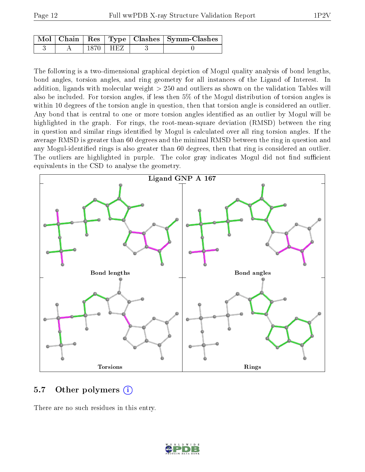|  |      | Mol   Chain   Res   Type   Clashes   Symm-Clashes |
|--|------|---------------------------------------------------|
|  | HEZ. |                                                   |

The following is a two-dimensional graphical depiction of Mogul quality analysis of bond lengths, bond angles, torsion angles, and ring geometry for all instances of the Ligand of Interest. In addition, ligands with molecular weight > 250 and outliers as shown on the validation Tables will also be included. For torsion angles, if less then 5% of the Mogul distribution of torsion angles is within 10 degrees of the torsion angle in question, then that torsion angle is considered an outlier. Any bond that is central to one or more torsion angles identified as an outlier by Mogul will be highlighted in the graph. For rings, the root-mean-square deviation (RMSD) between the ring in question and similar rings identified by Mogul is calculated over all ring torsion angles. If the average RMSD is greater than 60 degrees and the minimal RMSD between the ring in question and any Mogul-identified rings is also greater than 60 degrees, then that ring is considered an outlier. The outliers are highlighted in purple. The color gray indicates Mogul did not find sufficient equivalents in the CSD to analyse the geometry.



#### 5.7 [O](https://www.wwpdb.org/validation/2017/XrayValidationReportHelp#nonstandard_residues_and_ligands)ther polymers  $(i)$

There are no such residues in this entry.

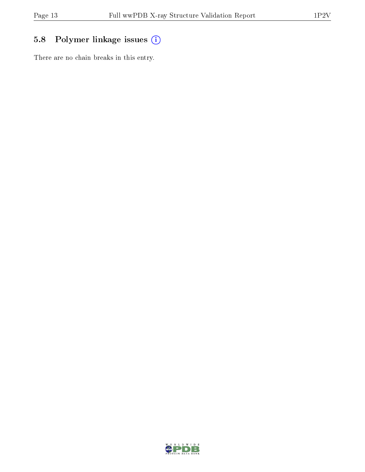## 5.8 Polymer linkage issues (i)

There are no chain breaks in this entry.

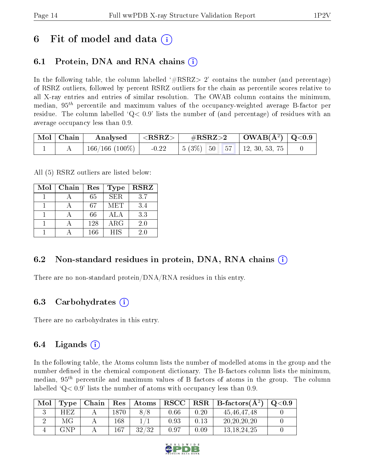## 6 Fit of model and data  $\left( \cdot \right)$

### 6.1 Protein, DNA and RNA chains (i)

In the following table, the column labelled  $#RSRZ>2'$  contains the number (and percentage) of RSRZ outliers, followed by percent RSRZ outliers for the chain as percentile scores relative to all X-ray entries and entries of similar resolution. The OWAB column contains the minimum, median,  $95<sup>th</sup>$  percentile and maximum values of the occupancy-weighted average B-factor per residue. The column labelled  $Q< 0.9$  lists the number of (and percentage) of residues with an average occupancy less than 0.9.

| Mol   Chain | Analysed       | $\langle \mathrm{RSRZ}\rangle$ | $\rm \#RSRZ{>}2$                                                                                       | $\vert$ OWAB(Å <sup>2</sup> ) $\vert$ Q<0.9 |  |
|-------------|----------------|--------------------------------|--------------------------------------------------------------------------------------------------------|---------------------------------------------|--|
|             | 166/166 (100%) | $-0.22$                        | $\begin{array}{ c c c c c c c c c } \hline 5 & 3\% & 50 & 57 & 12 & 30 & 53 & 75 \\\hline \end{array}$ |                                             |  |

All (5) RSRZ outliers are listed below:

| Mol | Chain | Res | <b>Type</b> | <b>RSRZ</b> |
|-----|-------|-----|-------------|-------------|
|     |       | 65  | SER.        | 3.7         |
|     |       | 67  | <b>MET</b>  | 3.4         |
|     |       | 66  | ALA         | 3.3         |
|     |       | 128 | ARG         | 2.0         |
|     |       | 166 | <b>HIS</b>  | 2.0         |

### 6.2 Non-standard residues in protein, DNA, RNA chains (i)

There are no non-standard protein/DNA/RNA residues in this entry.

#### 6.3 Carbohydrates (i)

There are no carbohydrates in this entry.

### 6.4 Ligands  $(i)$

In the following table, the Atoms column lists the number of modelled atoms in the group and the number defined in the chemical component dictionary. The B-factors column lists the minimum, median,  $95<sup>th</sup>$  percentile and maximum values of B factors of atoms in the group. The column labelled  $Q< 0.9$ ' lists the number of atoms with occupancy less than 0.9.

| Mol |     |      | $\mathbf{Type}$   Chain   Res   Atoms |            |      | $\vert$ RSCC $\vert$ RSR $\vert$ B-factors( $A^2$ ) | $\mid$ Q $<$ 0.9 |
|-----|-----|------|---------------------------------------|------------|------|-----------------------------------------------------|------------------|
|     | HEZ | 1870 |                                       | 0.66       | 0.20 | 45.46.47.48                                         |                  |
|     | МG  | 168  |                                       | $\rm 0.93$ | 0.13 | 20, 20, 20, 20                                      |                  |
|     | GNP | 167  | 32/32                                 | 0.97       | 0.09 | 13, 18, 24, 25                                      |                  |